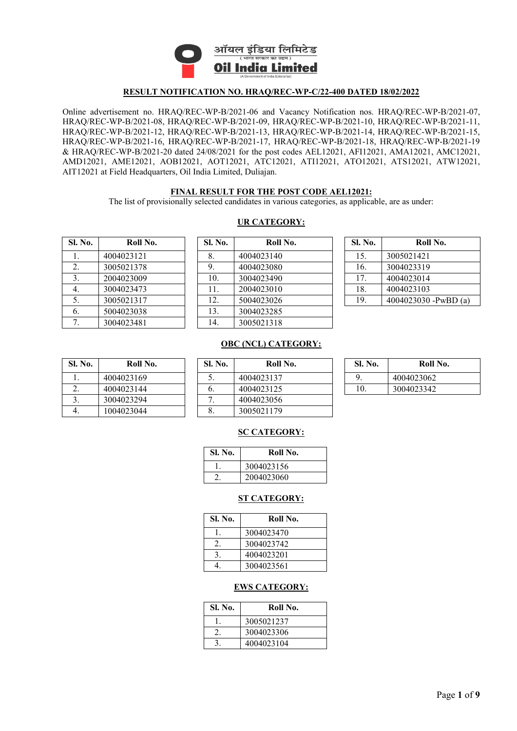

### **RESULT NOTIFICATION NO. HRAQ/REC-WP-C/22-400 DATED 18/02/2022**

Online advertisement no. HRAQ/REC-WP-B/2021-06 and Vacancy Notification nos. HRAQ/REC-WP-B/2021-07, HRAQ/REC-WP-B/2021-08, HRAQ/REC-WP-B/2021-09, HRAQ/REC-WP-B/2021-10, HRAQ/REC-WP-B/2021-11, HRAQ/REC-WP-B/2021-12, HRAQ/REC-WP-B/2021-13, HRAQ/REC-WP-B/2021-14, HRAQ/REC-WP-B/2021-15, HRAQ/REC-WP-B/2021-16, HRAQ/REC-WP-B/2021-17, HRAQ/REC-WP-B/2021-18, HRAQ/REC-WP-B/2021-19 & HRAQ/REC-WP-B/2021-20 dated 24/08/2021 for the post codes AEL12021, AFI12021, AMA12021, AMC12021, AMD12021, AME12021, AOB12021, AOT12021, ATC12021, ATI12021, ATO12021, ATS12021, ATW12021, AIT12021 at Field Headquarters, Oil India Limited, Duliajan.

#### **FINAL RESULT FOR THE POST CODE AEL12021:**

The list of provisionally selected candidates in various categories, as applicable, are as under:

#### **UR CATEGORY:**

| Sl. No. | Roll No.   | <b>Sl. No.</b> | Roll       |
|---------|------------|----------------|------------|
| 1.      | 4004023121 | 8.             | 4004023140 |
| 2.      | 3005021378 | 9.             | 4004023080 |
| 3.      | 2004023009 | 10.            | 3004023490 |
| 4.      | 3004023473 | 11.            | 2004023010 |
| 5.      | 3005021317 | 12.            | 5004023026 |
| 6.      | 5004023038 | 13.            | 3004023285 |
| 7       | 3004023481 | 14.            | 3005021318 |

| Sl. No. | Roll No.   | <b>Sl. No.</b> | Roll No.   | <b>Sl. No.</b> | Roll No.             |
|---------|------------|----------------|------------|----------------|----------------------|
| -1.     | 4004023121 | 8.             | 4004023140 | 15.            | 3005021421           |
| 2.      | 3005021378 | 9.             | 4004023080 | 16.            | 3004023319           |
| 3.      | 2004023009 | 10.            | 3004023490 | 17.            | 4004023014           |
| 4.      | 3004023473 | 11.            | 2004023010 | 18.            | 4004023103           |
| 5.      | 3005021317 | 12.            | 5004023026 | 19.            | 4004023030 -PwBD (a) |
| -6.     | 5004023038 | 13.            | 3004023285 |                |                      |
| 7.      | 3004023481 | 14.            | 3005021318 |                |                      |

| Sl. No. | Roll No.             |
|---------|----------------------|
| 15.     | 3005021421           |
| 16.     | 3004023319           |
| 17.     | 4004023014           |
| 18.     | 4004023103           |
| 19.     | 4004023030 -PwBD (a) |

#### **OBC (NCL) CATEGORY:**

| <b>Sl. No.</b> | Roll No.   | <b>Sl. No.</b> | Roll       |
|----------------|------------|----------------|------------|
|                | 4004023169 |                | 4004023137 |
|                | 4004023144 | O.             | 4004023125 |
| 3.             | 3004023294 |                | 4004023056 |
|                | 1004023044 | 8.             | 3005021179 |

| Sl. No.  | Roll No.   | <b>Sl. No.</b> | Roll No.   | <b>Sl. No.</b> | Roll No.   |
|----------|------------|----------------|------------|----------------|------------|
|          | 4004023169 | Ć.             | 4004023137 |                | 4004023062 |
| <u>.</u> | 4004023144 | $\mathbf{b}$ . | 4004023125 | 10.            | 3004023342 |
| J.       | 3004023294 |                | 4004023056 |                |            |
|          | 1004023044 | 8.             | 3005021179 |                |            |

| Sl. No. | Roll No.   |
|---------|------------|
| Q       | 4004023062 |
| 10.     | 3004023342 |

## **SC CATEGORY:**

| Sl. No. | Roll No.   |
|---------|------------|
|         | 3004023156 |
|         | 2004023060 |

#### **ST CATEGORY:**

| Sl. No.       | Roll No.   |
|---------------|------------|
|               | 3004023470 |
| $\mathcal{L}$ | 3004023742 |
|               | 4004023201 |
|               | 3004023561 |

### **EWS CATEGORY:**

| Sl. No. | Roll No.   |
|---------|------------|
|         | 3005021237 |
|         | 3004023306 |
|         | 4004023104 |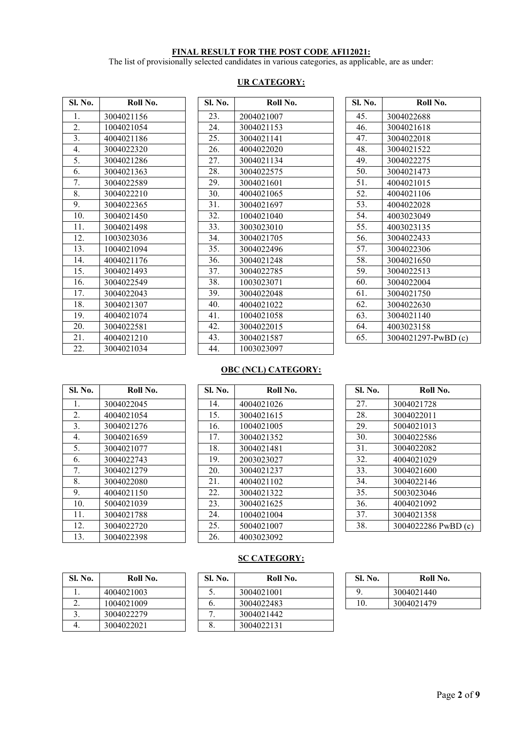#### **FINAL RESULT FOR THE POST CODE AFI12021:**

The list of provisionally selected candidates in various categories, as applicable, are as under:

|  |  | <b>UR CATEGORY:</b> |
|--|--|---------------------|
|  |  |                     |

| Sl. No. | Roll No.   | Sl. No. | Roll       |
|---------|------------|---------|------------|
| 1.      | 3004021156 | 23.     | 2004021007 |
| 2.      | 1004021054 | 24.     | 3004021153 |
| 3.      | 4004021186 | 25.     | 3004021141 |
| 4.      | 3004022320 | 26.     | 4004022020 |
| 5.      | 3004021286 | 27.     | 3004021134 |
| 6.      | 3004021363 | 28.     | 3004022575 |
| 7.      | 3004022589 | 29.     | 3004021601 |
| 8.      | 3004022210 | 30.     | 4004021065 |
| 9.      | 3004022365 | 31.     | 3004021697 |
| 10.     | 3004021450 | 32.     | 1004021040 |
| 11.     | 3004021498 | 33.     | 3003023010 |
| 12.     | 1003023036 | 34.     | 3004021705 |
| 13.     | 1004021094 | 35.     | 3004022496 |
| 14.     | 4004021176 | 36.     | 3004021248 |
| 15.     | 3004021493 | 37.     | 3004022785 |
| 16.     | 3004022549 | 38.     | 1003023071 |
| 17.     | 3004022043 | 39.     | 3004022048 |
| 18.     | 3004021307 | 40.     | 4004021022 |
| 19.     | 4004021074 | 41.     | 1004021058 |
| 20.     | 3004022581 | 42.     | 3004022015 |
| 21.     | 4004021210 | 43.     | 3004021587 |
| 22.     | 3004021034 | 44.     | 1003023097 |

| Sl. No.          | Roll No.   | Sl. No. | Roll No.   | Sl. No. | Roll No.            |
|------------------|------------|---------|------------|---------|---------------------|
| 1.               | 3004021156 | 23.     | 2004021007 | 45.     | 3004022688          |
| 2.               | 1004021054 | 24.     | 3004021153 | 46.     | 3004021618          |
| $\overline{3}$ . | 4004021186 | 25.     | 3004021141 | 47.     | 3004022018          |
| 4.               | 3004022320 | 26.     | 4004022020 | 48.     | 3004021522          |
| 5.               | 3004021286 | 27.     | 3004021134 | 49.     | 3004022275          |
| 6.               | 3004021363 | 28.     | 3004022575 | 50.     | 3004021473          |
| 7.               | 3004022589 | 29.     | 3004021601 | 51.     | 4004021015          |
| 8.               | 3004022210 | 30.     | 4004021065 | 52.     | 4004021106          |
| 9.               | 3004022365 | 31.     | 3004021697 | 53.     | 4004022028          |
| 10.              | 3004021450 | 32.     | 1004021040 | 54.     | 4003023049          |
| 11.              | 3004021498 | 33.     | 3003023010 | 55.     | 4003023135          |
| 12.              | 1003023036 | 34.     | 3004021705 | 56.     | 3004022433          |
| 13.              | 1004021094 | 35.     | 3004022496 | 57.     | 3004022306          |
| 14.              | 4004021176 | 36.     | 3004021248 | 58.     | 3004021650          |
| 15.              | 3004021493 | 37.     | 3004022785 | 59.     | 3004022513          |
| 16.              | 3004022549 | 38.     | 1003023071 | 60.     | 3004022004          |
| 17.              | 3004022043 | 39.     | 3004022048 | 61.     | 3004021750          |
| 18.              | 3004021307 | 40.     | 4004021022 | 62.     | 3004022630          |
| 19.              | 4004021074 | 41.     | 1004021058 | 63.     | 3004021140          |
| 20.              | 3004022581 | 42.     | 3004022015 | 64.     | 4003023158          |
| 21.              | 4004021210 | 43.     | 3004021587 | 65.     | 3004021297-PwBD (c) |
| 22.              | 3004021034 | 44.     | 1003023097 |         |                     |
|                  |            |         |            |         |                     |

| Sl. No. | Roll No.            |
|---------|---------------------|
| 45.     | 3004022688          |
| 46.     | 3004021618          |
| 47.     | 3004022018          |
| 48.     | 3004021522          |
| 49.     | 3004022275          |
| 50.     | 3004021473          |
| 51.     | 4004021015          |
| 52.     | 4004021106          |
| 53.     | 4004022028          |
| 54.     | 4003023049          |
| 55.     | 4003023135          |
| 56.     | 3004022433          |
| 57.     | 3004022306          |
| 58.     | 3004021650          |
| 59.     | 3004022513          |
| 60.     | 3004022004          |
| 61.     | 3004021750          |
| 62.     | 3004022630          |
| 63.     | 3004021140          |
| 64.     | 4003023158          |
| 65.     | 3004021297-PwBD (c) |

## **OBC (NCL) CATEGORY:**

| Sl. No. | Roll No.   | Sl. No. | Roll       |
|---------|------------|---------|------------|
| 1.      | 3004022045 | 14.     | 4004021026 |
| 2.      | 4004021054 | 15.     | 3004021615 |
| 3.      | 3004021276 | 16.     | 1004021005 |
| 4.      | 3004021659 | 17.     | 3004021352 |
| 5.      | 3004021077 | 18.     | 3004021481 |
| 6.      | 3004022743 | 19.     | 2003023027 |
| 7.      | 3004021279 | 20.     | 3004021237 |
| 8.      | 3004022080 | 21.     | 4004021102 |
| 9.      | 4004021150 | 22.     | 3004021322 |
| 10.     | 5004021039 | 23.     | 3004021625 |
| 11.     | 3004021788 | 24.     | 1004021004 |
| 12.     | 3004022720 | 25.     | 5004021007 |
| 13.     | 3004022398 | 26.     | 4003023092 |

| Sl. No. | Roll No.   | <b>Sl. No.</b> | Roll No.   | Sl. No. | Roll No.            |
|---------|------------|----------------|------------|---------|---------------------|
| 1.      | 3004022045 | 14.            | 4004021026 | 27.     | 3004021728          |
| 2.      | 4004021054 | 15.            | 3004021615 | 28.     | 3004022011          |
| 3.      | 3004021276 | 16.            | 1004021005 | 29.     | 5004021013          |
| 4.      | 3004021659 | 17.            | 3004021352 | 30.     | 3004022586          |
| 5.      | 3004021077 | 18.            | 3004021481 | 31.     | 3004022082          |
| 6.      | 3004022743 | 19.            | 2003023027 | 32.     | 4004021029          |
| 7.      | 3004021279 | 20.            | 3004021237 | 33.     | 3004021600          |
| 8.      | 3004022080 | 21.            | 4004021102 | 34.     | 3004022146          |
| 9.      | 4004021150 | 22.            | 3004021322 | 35.     | 5003023046          |
| 10.     | 5004021039 | 23.            | 3004021625 | 36.     | 4004021092          |
| 11.     | 3004021788 | 24.            | 1004021004 | 37.     | 3004021358          |
| 12.     | 3004022720 | 25.            | 5004021007 | 38.     | 3004022286 PwBD (c) |
| 13.     | 3004022398 | 26.            | 4003023092 |         |                     |
|         |            |                |            |         |                     |

| Sl. No. | Roll No.            |
|---------|---------------------|
| 27.     | 3004021728          |
| 28.     | 3004022011          |
| 29.     | 5004021013          |
| 30.     | 3004022586          |
| 31.     | 3004022082          |
| 32.     | 4004021029          |
| 33.     | 3004021600          |
| 34.     | 3004022146          |
| 35.     | 5003023046          |
| 36.     | 4004021092          |
| 37.     | 3004021358          |
| 38.     | 3004022286 PwBD (c) |

# **SC CATEGORY:**

| <b>Sl. No.</b> | Roll No.   | <b>Sl. No.</b> | Roll       |
|----------------|------------|----------------|------------|
|                | 4004021003 |                | 3004021001 |
|                | 1004021009 | n.             | 3004022483 |
|                | 3004022279 |                | 3004021442 |
|                | 3004022021 |                | 3004022131 |

| Sl. No.  | Roll No.   | Sl. No. | Roll No.   | Sl. No. | Roll No.   |
|----------|------------|---------|------------|---------|------------|
|          | 4004021003 | J.      | 3004021001 |         | 3004021440 |
| <u>.</u> | 1004021009 | O.      | 3004022483 | 10.     | 3004021479 |
|          | 3004022279 |         | 3004021442 |         |            |
|          | 3004022021 | 8.      | 3004022131 |         |            |

| Sl. No. | Roll No.   |
|---------|------------|
|         | 3004021440 |
| 10.     | 3004021479 |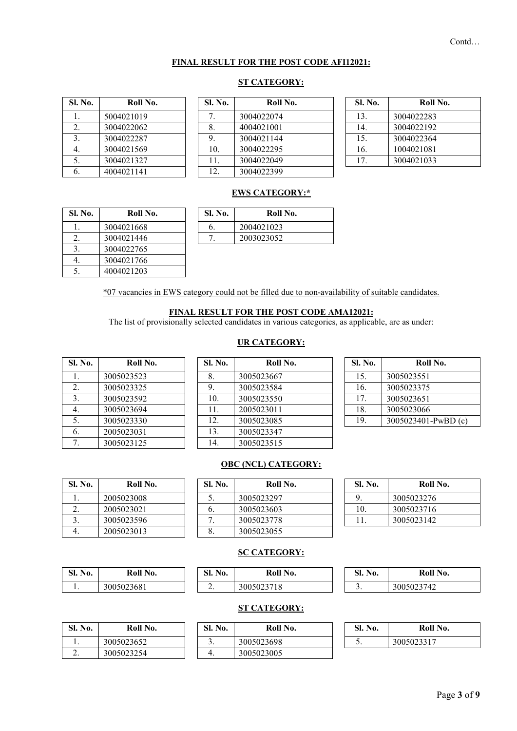## **FINAL RESULT FOR THE POST CODE AFI12021:**

## **ST CATEGORY:**

| Sl. No. | Roll No.   | Sl. No. | Roll       |
|---------|------------|---------|------------|
|         | 5004021019 | 7       | 3004022074 |
| 2.      | 3004022062 | 8.      | 4004021001 |
| 3.      | 3004022287 | 9.      | 3004021144 |
| 4.      | 3004021569 | 10.     | 3004022295 |
| 5.      | 3004021327 | 11.     | 3004022049 |
| 6.      | 4004021141 | 12.     | 3004022399 |

| Sl. No. | Roll No.   | <b>Sl. No.</b> | Roll No.   | Sl. No. | Roll No.   |
|---------|------------|----------------|------------|---------|------------|
|         | 5004021019 |                | 3004022074 | 13.     | 3004022283 |
|         | 3004022062 | 8.             | 4004021001 | 14.     | 3004022192 |
|         | 3004022287 | 9.             | 3004021144 | 15.     | 3004022364 |
| 4.      | 3004021569 | 10.            | 3004022295 | 16.     | 1004021081 |
| 5.      | 3004021327 | 11.            | 3004022049 | 17.     | 3004021033 |
| 6.      | 4004021141 | 12.            | 3004022399 |         |            |

| Sl. No. | Roll No.   |
|---------|------------|
| 13.     | 3004022283 |
| 14.     | 3004022192 |
| 15.     | 3004022364 |
| 16.     | 1004021081 |
| $17 \,$ | 3004021033 |

## **EWS CATEGORY:\***

| <b>Sl. No.</b> | Roll No.   | <b>Sl. No.</b> | Roll No.   |
|----------------|------------|----------------|------------|
|                | 3004021668 | o.             | 2004021023 |
| 2.             | 3004021446 | ٠.             | 2003023052 |
|                | 3004022765 |                |            |
| 4.             | 3004021766 |                |            |
|                | 4004021203 |                |            |

| Sl. No. | Roll No.   |
|---------|------------|
| h.      | 2004021023 |
|         | 2003023052 |

\*07 vacancies in EWS category could not be filled due to non-availability of suitable candidates.

# **FINAL RESULT FOR THE POST CODE AMA12021:**

The list of provisionally selected candidates in various categories, as applicable, are as under:

## **UR CATEGORY:**

| Sl. No. | Roll No.   |     | Sl. No. | Roll       |
|---------|------------|-----|---------|------------|
| 1.      | 3005023523 | 8.  |         | 3005023667 |
| 2.      | 3005023325 | 9.  |         | 3005023584 |
| 3.      | 3005023592 | 10. |         | 3005023550 |
| 4.      | 3005023694 | 11. |         | 2005023011 |
| 5.      | 3005023330 | 12. |         | 3005023085 |
| 6.      | 2005023031 | 13. |         | 3005023347 |
| 7.      | 3005023125 | 14. |         | 3005023515 |

| Sl. No. | Roll No.   | <b>Sl. No.</b> | Roll No.   | <b>Sl. No.</b> | Roll No.            |
|---------|------------|----------------|------------|----------------|---------------------|
|         | 3005023523 | 8.             | 3005023667 | 15.            | 3005023551          |
| 2.      | 3005023325 |                | 3005023584 | 16.            | 3005023375          |
| 3.      | 3005023592 | 10.            | 3005023550 | 17.            | 3005023651          |
| 4.      | 3005023694 | 11.            | 2005023011 | 18.            | 3005023066          |
| 5.      | 3005023330 | 12.            | 3005023085 | 19.            | 3005023401-PwBD (c) |
| 6.      | 2005023031 | 13.            | 3005023347 |                |                     |
|         | 3005023125 | 14.            | 3005023515 |                |                     |

| Sl. No. | Roll No.            |
|---------|---------------------|
| 15.     | 3005023551          |
| 16.     | 3005023375          |
| 17.     | 3005023651          |
| 18.     | 3005023066          |
| 19.     | 3005023401-PwBD (c) |

### **OBC (NCL) CATEGORY:**

| Sl. No.        | Roll No.   | Sl. No. | Roll No.   | Sl. No. | Roll No.   |
|----------------|------------|---------|------------|---------|------------|
|                | 2005023008 | J.      | 3005023297 |         | 3005023276 |
| <u>.</u>       | 2005023021 | b.      | 3005023603 | 10.     | 3005023716 |
| J.             | 3005023596 |         | 3005023778 |         | 3005023142 |
| $\Delta$<br>᠇. | 2005023013 | ο.      | 3005023055 |         |            |

## **SC CATEGORY:**

| <b>SI. No.</b> | Roll No.   | No.<br>SI. | Roll No.   | CΠ<br>No.<br>эь. | Roll No.   |
|----------------|------------|------------|------------|------------------|------------|
| . .            | 3005023681 | <u>.</u>   | 3005023718 | <u>.</u>         | 3005023742 |

## **ST CATEGORY:**

| Sl. No.  | Roll No.   | <b>Sl. No.</b> | Roll No.   | SI.<br>No. | Roll No.   |
|----------|------------|----------------|------------|------------|------------|
| . .      | 3005023652 | <u>.</u>       | 3005023698 | <u>.</u>   | 3005023317 |
| <u>.</u> | 3005023254 | Η.             | 3005023005 |            |            |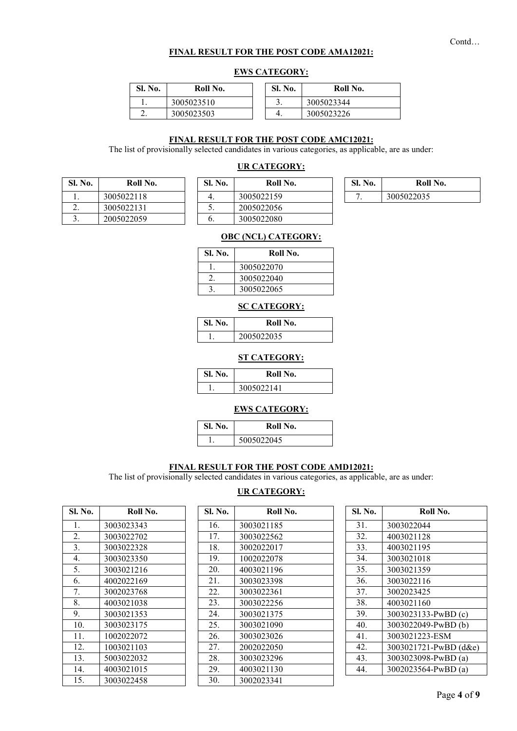### **FINAL RESULT FOR THE POST CODE AMA12021:**

## **EWS CATEGORY:**

| Sl. No. | Roll No.   | <b>Sl. No.</b> | Roll No.   |
|---------|------------|----------------|------------|
|         | 3005023510 | J.             | 3005023344 |
| ـ.      | 3005023503 |                | 3005023226 |

## **FINAL RESULT FOR THE POST CODE AMC12021:**

The list of provisionally selected candidates in various categories, as applicable, are as under:

## **UR CATEGORY:**

| Sl. No.  | Roll No.   | <b>Sl. No.</b> | Roll No.   | Sl. No. | Roll No.   |
|----------|------------|----------------|------------|---------|------------|
|          | 3005022118 |                | 3005022159 |         | 3005022035 |
| <u>.</u> | 3005022131 | <u>.</u>       | 2005022056 |         |            |
| ຸ        | 2005022059 | o.             | 3005022080 |         |            |

| l. No.  | Roll No.   | <b>Sl. No.</b> | Roll No.   | <b>Sl. No.</b> | Rol        |
|---------|------------|----------------|------------|----------------|------------|
| $\cdot$ | 3005022118 |                | 3005022159 |                | 3005022035 |
| ۷.      | 3005022131 | <u>.</u>       | 2005022056 |                |            |
| . ر     | 2005022059 | o.             | 3005022080 |                |            |

| Sl. No. | Roll No.   |
|---------|------------|
|         | 3005022035 |

### **OBC (NCL) CATEGORY:**

| <b>SI. No.</b> | Roll No.   |
|----------------|------------|
|                | 3005022070 |
|                | 3005022040 |
|                | 3005022065 |

## **SC CATEGORY:**

| <b>Sl. No.</b> | Roll No.   |
|----------------|------------|
|                | 2005022035 |

### **ST CATEGORY:**

| SI. N<br>√0. | Roll No.   |
|--------------|------------|
|              | .005022141 |

### **EWS CATEGORY:**

| SI. No. | Roll No.   |
|---------|------------|
|         | 5005022045 |

## **FINAL RESULT FOR THE POST CODE AMD12021:**

The list of provisionally selected candidates in various categories, as applicable, are as under:

## **UR CATEGORY:**

| <b>Sl. No.</b> | Roll No.   | <b>Sl. No.</b> | Roll No.   | <b>Sl. No.</b> | Roll No.       |
|----------------|------------|----------------|------------|----------------|----------------|
| 1.             | 3003023343 | 16.            | 3003021185 | 31.            | 3003022044     |
| 2.             | 3003022702 | 17.            | 3003022562 | 32.            | 4003021128     |
| 3.             | 3003022328 | 18.            | 3002022017 | 33.            | 4003021195     |
| 4.             | 3003023350 | 19.            | 1002022078 | 34.            | 3003021018     |
| 5.             | 3003021216 | 20.            | 4003021196 | 35.            | 3003021359     |
| 6.             | 4002022169 | 21.            | 3003023398 | 36.            | 3003022116     |
| 7.             | 3002023768 | 22.            | 3003022361 | 37.            | 3002023425     |
| 8.             | 4003021038 | 23.            | 3003022256 | 38.            | 4003021160     |
| 9.             | 3003021353 | 24.            | 3003021375 | 39.            | 3003023133-PwB |
| 10.            | 3003023175 | 25.            | 3003021090 | 40.            | 3003022049-PwB |
| 11.            | 1002022072 | 26.            | 3003023026 | 41.            | 3003021223-ESM |
| 12.            | 1003021103 | 27.            | 2002022050 | 42.            | 3003021721-PwB |
| 13.            | 5003022032 | 28.            | 3003023296 | 43.            | 3003023098-PwB |
| 14.            | 4003021015 | 29.            | 4003021130 | 44.            | 3002023564-PwB |
| 15.            | 3003022458 | 30.            | 3002023341 |                |                |

| I. IVO.          | KOH IVO.   | 51. IVO. | KOII IVO.  | <b>SI. IVO.</b> | KOH IVO.              |
|------------------|------------|----------|------------|-----------------|-----------------------|
| 1.               | 3003023343 | 16.      | 3003021185 | 31.             | 3003022044            |
| 2.               | 3003022702 | 17.      | 3003022562 | 32.             | 4003021128            |
| 3.               | 3003022328 | 18.      | 3002022017 | 33.             | 4003021195            |
| 4.               | 3003023350 | 19.      | 1002022078 | 34.             | 3003021018            |
| 5.               | 3003021216 | 20.      | 4003021196 | 35.             | 3003021359            |
| 6.               | 4002022169 | 21.      | 3003023398 | 36.             | 3003022116            |
| $\overline{7}$ . | 3002023768 | 22.      | 3003022361 | 37.             | 3002023425            |
| 8.               | 4003021038 | 23.      | 3003022256 | 38.             | 4003021160            |
| 9.               | 3003021353 | 24.      | 3003021375 | 39.             | 3003023133-PwBD (c)   |
| 10.              | 3003023175 | 25.      | 3003021090 | 40.             | 3003022049-PwBD (b)   |
| 11.              | 1002022072 | 26.      | 3003023026 | 41.             | 3003021223-ESM        |
| 12.              | 1003021103 | 27.      | 2002022050 | 42.             | 3003021721-PwBD (d&e) |
| 13.              | 5003022032 | 28.      | 3003023296 | 43.             | 3003023098-PwBD (a)   |
| 14.              | 4003021015 | 29.      | 4003021130 | 44.             | 3002023564-PwBD (a)   |
| 15.              | 3003022458 | 30.      | 3002023341 |                 |                       |
|                  |            |          |            |                 |                       |

| Sl. No. | Roll No.              |
|---------|-----------------------|
| 31.     | 3003022044            |
| 32.     | 4003021128            |
| 33.     | 4003021195            |
| 34.     | 3003021018            |
| 35.     | 3003021359            |
| 36.     | 3003022116            |
| 37.     | 3002023425            |
| 38.     | 4003021160            |
| 39.     | 3003023133-PwBD (c)   |
| 40.     | 3003022049-PwBD (b)   |
| 41.     | 3003021223-ESM        |
| 42.     | 3003021721-PwBD (d&e) |
| 43.     | 3003023098-PwBD (a)   |
| 44.     | 3002023564-PwBD (a)   |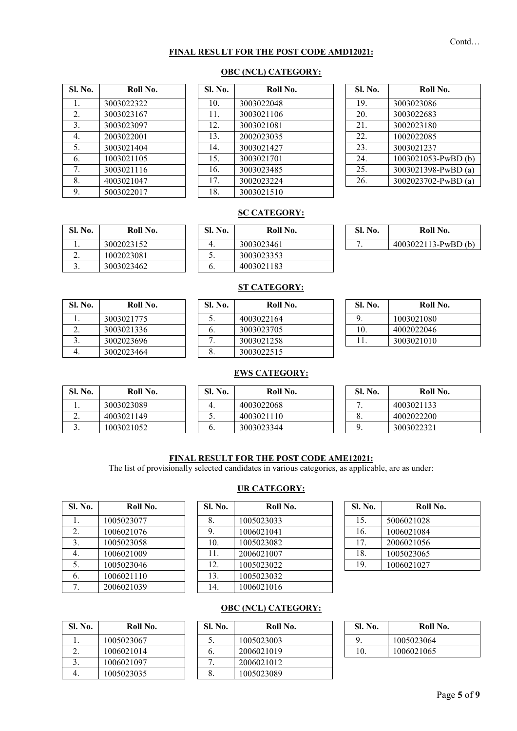## **FINAL RESULT FOR THE POST CODE AMD12021:**

## **OBC (NCL) CATEGORY:**

| Sl. No. | Roll No.   | Sl. No. | Roll       |
|---------|------------|---------|------------|
| 1.      | 3003022322 | 10.     | 3003022048 |
| 2.      | 3003023167 | 11.     | 3003021106 |
| 3.      | 3003023097 | 12.     | 3003021081 |
| 4.      | 2003022001 | 13.     | 2002023035 |
| 5.      | 3003021404 | 14.     | 3003021427 |
| 6.      | 1003021105 | 15.     | 3003021701 |
| 7.      | 3003021116 | 16.     | 3003023485 |
| 8.      | 4003021047 | 17.     | 3002023224 |
| 9.      | 5003022017 | 18.     | 3003021510 |

| Sl. No. | Roll No.   | Sl. No. | Roll No.   | Sl. No. | Roll No.            |
|---------|------------|---------|------------|---------|---------------------|
| 1.      | 3003022322 | 10.     | 3003022048 | 19.     | 3003023086          |
| 2.      | 3003023167 | 11.     | 3003021106 | 20.     | 3003022683          |
| 3.      | 3003023097 | 12.     | 3003021081 | 21.     | 3002023180          |
| 4.      | 2003022001 | 13.     | 2002023035 | 22.     | 1002022085          |
| 5.      | 3003021404 | 14.     | 3003021427 | 23.     | 3003021237          |
| 6.      | 1003021105 | 15.     | 3003021701 | 24.     | 1003021053-PwBD (b) |
| 7.      | 3003021116 | 16.     | 3003023485 | 25.     | 3003021398-PwBD (a) |
| 8.      | 4003021047 | 17.     | 3002023224 | 26.     | 3002023702-PwBD (a) |
| 9.      | 5003022017 | 18.     | 3003021510 |         |                     |

| Sl. No. | Roll No.            |
|---------|---------------------|
| 19.     | 3003023086          |
| 20.     | 3003022683          |
| 21.     | 3002023180          |
| 22.     | 1002022085          |
| 23.     | 3003021237          |
| 24.     | 1003021053-PwBD (b) |
| 25.     | 3003021398-PwBD (a) |
| 26.     | 3002023702-PwBD (a) |

### **SC CATEGORY:**

| Sl. No.  | Roll No.   | <b>Sl. No.</b> | Roll No.   | <b>Sl. No.</b> | Roll No.                 |
|----------|------------|----------------|------------|----------------|--------------------------|
| . .      | 3002023152 |                | 3003023461 |                | $4003022113$ -PwBD $(b)$ |
| <u>.</u> | 1002023081 | <u>.</u>       | 3003023353 |                |                          |
| J .      | 3003023462 |                | 4003021183 |                |                          |

### **ST CATEGORY:**

| <b>Sl. No.</b> | Roll No.   | <b>Sl. No.</b> | Roll       |
|----------------|------------|----------------|------------|
|                | 3003021775 |                | 4003022164 |
|                | 3003021336 | n.             | 3003023705 |
|                | 3002023696 |                | 3003021258 |
|                | 3002023464 | -8.            | 3003022515 |

| Sl. No.  | Roll No.   | Sl. No. | Roll No.   | Sl. No. | Roll No.   |
|----------|------------|---------|------------|---------|------------|
|          |            |         |            |         |            |
|          | 3003021775 | C.      | 4003022164 |         | 1003021080 |
| <u>.</u> | 3003021336 | O.      | 3003023705 | 10.     | 4002022046 |
|          | 3002023696 |         | 3003021258 | 11.     | 3003021010 |
|          | 3002023464 | 8.      | 3003022515 |         |            |

| <b>SI. No.</b> | Roll No.   |
|----------------|------------|
| 9              | 1003021080 |
| 10.            | 4002022046 |
|                | 3003021010 |

### **EWS CATEGORY:**

| Sl. No.  | Roll No.   | <b>Sl. No.</b> | Roll No.   | Sl. No. | Roll No.   |
|----------|------------|----------------|------------|---------|------------|
| . .      | 3003023089 |                | 4003022068 |         | 4003021133 |
| <u>.</u> | 4003021149 | <u>.</u>       | 4003021110 | o.      | 4002022200 |
| <u>.</u> | 1003021052 | o.             | 3003023344 |         | 3003022321 |

## **FINAL RESULT FOR THE POST CODE AME12021:**

The list of provisionally selected candidates in various categories, as applicable, are as under:

| <b>UR CATEGORY:</b> |  |  |  |
|---------------------|--|--|--|
|                     |  |  |  |

| Sl. No. | Roll No.   | Sl. No. | Roll       |
|---------|------------|---------|------------|
| 1.      | 1005023077 | 8.      | 1005023033 |
| 2.      | 1006021076 | 9.      | 1006021041 |
| 3.      | 1005023058 | 10.     | 1005023082 |
| 4.      | 1006021009 | 11.     | 2006021007 |
| 5.      | 1005023046 | 12.     | 1005023022 |
| 6.      | 1006021110 | 13.     | 1005023032 |
| 7.      | 2006021039 | 14.     | 1006021016 |

| Sl. No. | Roll No.   | <b>Sl. No.</b> | Roll No.   | Sl. No. | Roll No.   |
|---------|------------|----------------|------------|---------|------------|
|         | 1005023077 | 8.             | 1005023033 | 15.     | 5006021028 |
| 2.      | 1006021076 | 9.             | 1006021041 | 16.     | 1006021084 |
| 3.      | 1005023058 | 10.            | 1005023082 | 17.     | 2006021056 |
| 4.      | 1006021009 | 11.            | 2006021007 | 18.     | 1005023065 |
| 5.      | 1005023046 | 12.            | 1005023022 | 19.     | 1006021027 |
| 6.      | 1006021110 | 13.            | 1005023032 |         |            |
| 7.      | 2006021039 | 14.            | 1006021016 |         |            |
|         |            |                |            |         |            |

| Sl. No. | Roll No.   |
|---------|------------|
| 15.     | 5006021028 |
| 16.     | 1006021084 |
| 17.     | 2006021056 |
| 18.     | 1005023065 |
| 19.     | 1006021027 |

## **OBC (NCL) CATEGORY:**

| Sl. No. | Roll No.   | <b>Sl. No.</b> | Roll       |
|---------|------------|----------------|------------|
|         | 1005023067 |                | 1005023003 |
|         | 1006021014 | n.             | 2006021019 |
|         | 1006021097 |                | 2006021012 |
|         | 1005023035 | 8.             | 1005023089 |

| Sl. No.  | Roll No.   | <b>Sl. No.</b> | Roll No.   | <b>Sl. No.</b> | Roll No.   |
|----------|------------|----------------|------------|----------------|------------|
|          | 1005023067 | J.             | 1005023003 |                | 1005023064 |
| <u>.</u> | 1006021014 | b.             | 2006021019 | 10.            | 1006021065 |
| J.       | 1006021097 | . .            | 2006021012 |                |            |
|          | 1005023035 | 8.             | 1005023089 |                |            |

| <b>SL No.</b> | Roll No.   |  |  |  |
|---------------|------------|--|--|--|
| 9             | 1005023064 |  |  |  |
| 10            | 1006021065 |  |  |  |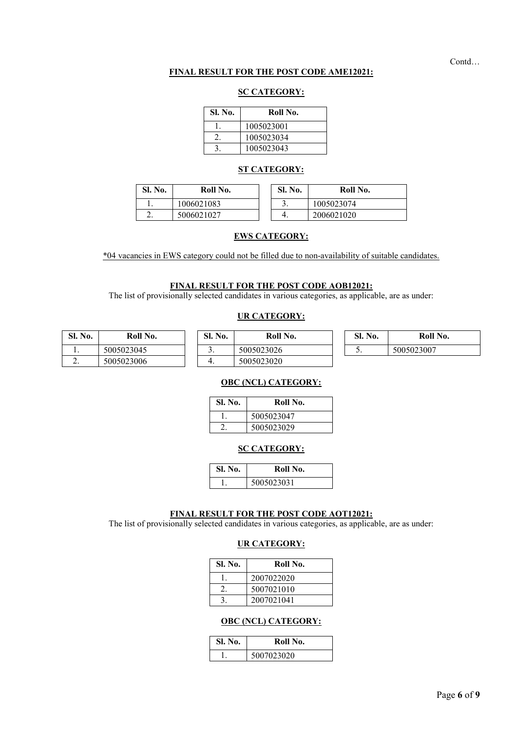## **FINAL RESULT FOR THE POST CODE AME12021:**

## **SC CATEGORY:**

| Sl. No. | Roll No.   |
|---------|------------|
|         | 1005023001 |
|         | 1005023034 |
|         | 1005023043 |

### **ST CATEGORY:**

| Sl. No. | Roll No.   | <b>Sl. No.</b> | Roll No.   |
|---------|------------|----------------|------------|
|         | 1006021083 |                | 1005023074 |
| ـ.      | 5006021027 |                | 2006021020 |

## **EWS CATEGORY:**

\*04 vacancies in EWS category could not be filled due to non-availability of suitable candidates.

## **FINAL RESULT FOR THE POST CODE AOB12021:**

The list of provisionally selected candidates in various categories, as applicable, are as under:

### **UR CATEGORY:**

| Sl. No.  | Roll No.   | No.<br>SI. | Roll No.   | SI. I<br>No. | Roll No.   |
|----------|------------|------------|------------|--------------|------------|
| . .      | 5005023045 | <u>.</u>   | 5005023026 | <u>.</u>     | 5005023007 |
| <u>.</u> | 5005023006 | . .        | 5005023020 |              |            |

### **OBC (NCL) CATEGORY:**

| Sl. No. | Roll No.   |
|---------|------------|
|         | 5005023047 |
|         | 5005023029 |

## **SC CATEGORY:**

| Sl. No. | Roll No.   |
|---------|------------|
|         | 5005023031 |

### **FINAL RESULT FOR THE POST CODE AOT12021:**

The list of provisionally selected candidates in various categories, as applicable, are as under:

### **UR CATEGORY:**

| Sl. No. | Roll No.   |
|---------|------------|
|         | 2007022020 |
|         | 5007021010 |
|         | 2007021041 |

### **OBC (NCL) CATEGORY:**

| Sl. No. | Roll No.   |
|---------|------------|
|         | 5007023020 |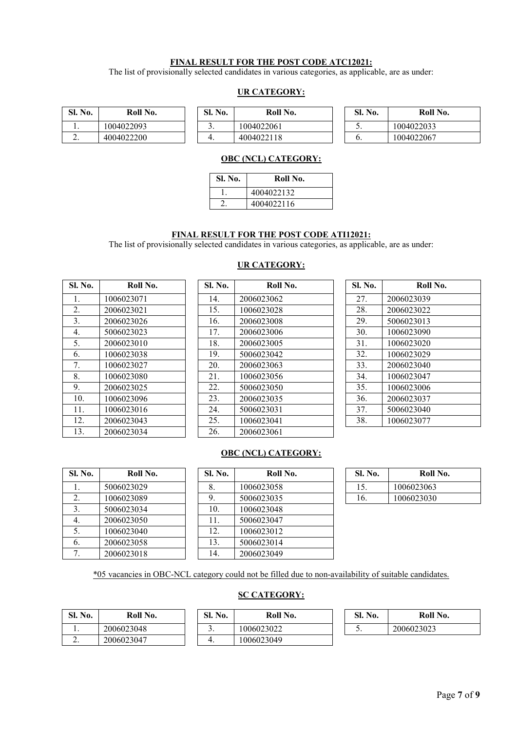# **FINAL RESULT FOR THE POST CODE ATC12021:**

The list of provisionally selected candidates in various categories, as applicable, are as under:

## **UR CATEGORY:**

| <b>Sl. No.</b> | Roll No.   | <b>Sl. No.</b> | Roll No.   | Sl. No. | Roll No.   |
|----------------|------------|----------------|------------|---------|------------|
| . .            | 1004022093 | ັ              | 1004022061 | ، ب     | 1004022033 |
| <u>.</u>       | 4004022200 |                | 4004022118 | v.      | 1004022067 |

## **OBC (NCL) CATEGORY:**

| <b>Sl. No.</b> | Roll No.   |
|----------------|------------|
|                | 4004022132 |
|                | 4004022116 |

## **FINAL RESULT FOR THE POST CODE ATI12021:**

The list of provisionally selected candidates in various categories, as applicable, are as under:

| Sl. No. | Roll No.   | Sl. No. | Roll       |
|---------|------------|---------|------------|
| 1.      | 1006023071 | 14.     | 2006023062 |
| 2.      | 2006023021 | 15.     | 1006023028 |
| 3.      | 2006023026 | 16.     | 2006023008 |
| 4.      | 5006023023 | 17.     | 2006023006 |
| 5.      | 2006023010 | 18.     | 2006023005 |
| 6.      | 1006023038 | 19.     | 5006023042 |
| 7.      | 1006023027 | 20.     | 2006023063 |
| 8.      | 1006023080 | 21.     | 1006023056 |
| 9.      | 2006023025 | 22.     | 5006023050 |
| 10.     | 1006023096 | 23.     | 2006023035 |
| 11.     | 1006023016 | 24.     | 5006023031 |
| 12.     | 2006023043 | 25.     | 1006023041 |
| 13.     | 2006023034 | 26.     | 2006023061 |

## **UR CATEGORY:**

| Sl. No. | Roll No.   | <b>Sl. No.</b> | Roll No.   | Sl. No. | Roll No.   |
|---------|------------|----------------|------------|---------|------------|
| 1.      | 1006023071 | 14.            | 2006023062 | 27.     | 2006023039 |
| 2.      | 2006023021 | 15.            | 1006023028 | 28.     | 2006023022 |
| 3.      | 2006023026 | 16.            | 2006023008 | 29.     | 5006023013 |
| 4.      | 5006023023 | 17.            | 2006023006 | 30.     | 1006023090 |
| 5.      | 2006023010 | 18.            | 2006023005 | 31.     | 1006023020 |
| 6.      | 1006023038 | 19.            | 5006023042 | 32.     | 1006023029 |
| 7.      | 1006023027 | 20.            | 2006023063 | 33.     | 2006023040 |
| 8.      | 1006023080 | 21.            | 1006023056 | 34.     | 1006023047 |
| 9.      | 2006023025 | 22.            | 5006023050 | 35.     | 1006023006 |
| 10.     | 1006023096 | 23.            | 2006023035 | 36.     | 2006023037 |
| 11.     | 1006023016 | 24.            | 5006023031 | 37.     | 5006023040 |
| 12.     | 2006023043 | 25.            | 1006023041 | 38.     | 1006023077 |
| 13.     | 2006023034 | 26.            | 2006023061 |         |            |

| <b>SI. No.</b> | Roll No.   |
|----------------|------------|
| 27.            | 2006023039 |
| 28.            | 2006023022 |
| 29.            | 5006023013 |
| 30.            | 1006023090 |
| 31.            | 1006023020 |
| 32.            | 1006023029 |
| 33.            | 2006023040 |
| 34.            | 1006023047 |
| 35.            | 1006023006 |
| 36.            | 2006023037 |
| 37.            | 5006023040 |
| 38.            | 1006023077 |

#### **OBC (NCL) CATEGORY:**

| <b>Sl. No.</b> | Roll No.   | <b>Sl. No.</b> | Roll No.   | Sl. No. | Roll No.   |
|----------------|------------|----------------|------------|---------|------------|
| 1.             | 5006023029 | 8.             | 1006023058 | 15.     | 1006023063 |
| 2.             | 1006023089 | 9.             | 5006023035 | 16.     | 1006023030 |
| 3.             | 5006023034 | 10.            | 1006023048 |         |            |
| 4.             | 2006023050 | 11.            | 5006023047 |         |            |
| 5.             | 1006023040 | 12.            | 1006023012 |         |            |
| 6.             | 2006023058 | 13.            | 5006023014 |         |            |
| 7              | 2006023018 | 14.            | 2006023049 |         |            |

| I. NO. | KOII NO.   | 51. NO. | KOII NO.   | <b>SL NO.</b> | ROIL       |
|--------|------------|---------|------------|---------------|------------|
| 1.     | 5006023029 | 8.      | 1006023058 | 15.           | 1006023063 |
| 2.     | 1006023089 | 9.      | 5006023035 | 16.           | 1006023030 |
| 3.     | 5006023034 | 10.     | 1006023048 |               |            |
| 4.     | 2006023050 | 11.     | 5006023047 |               |            |
| 5.     | 1006023040 | 12.     | 1006023012 |               |            |
| 6.     | 2006023058 | 13.     | 5006023014 |               |            |
| 7.     | 2006023018 | 14.     | 2006023049 |               |            |

| Sl. No. | Roll No.   |
|---------|------------|
| 15.     | 1006023063 |
| 16.     | 1006023030 |

\*05 vacancies in OBC-NCL category could not be filled due to non-availability of suitable candidates.

## **SC CATEGORY:**

| Sl. No.    | Roll No.   | SL <sub>1</sub><br>$\mathbf{N_0}$ | Roll No.   | SI.<br>No. | Roll No.   |
|------------|------------|-----------------------------------|------------|------------|------------|
| . .        | 2006023048 | ັ                                 | 1006023022 | J,         | 2006023023 |
| , <u>,</u> | 2006023047 | . .                               | 1006023049 |            |            |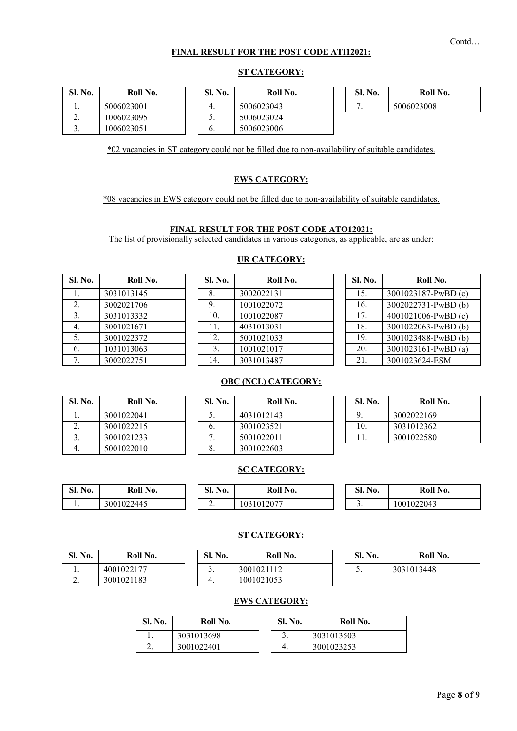### **FINAL RESULT FOR THE POST CODE ATI12021:**

## **ST CATEGORY:**

| Sl. No.  | Roll No.   | <b>Sl. No.</b> | Roll No.   | Sl. No. | Roll No.   |
|----------|------------|----------------|------------|---------|------------|
| . .      | 5006023001 | 4.             | 5006023043 |         | 5006023008 |
| ٠.       | 1006023095 | ◡.             | 5006023024 |         |            |
| <u>.</u> | 1006023051 | o.             | 5006023006 |         |            |

\*02 vacancies in ST category could not be filled due to non-availability of suitable candidates.

## **EWS CATEGORY:**

\*08 vacancies in EWS category could not be filled due to non-availability of suitable candidates.

#### **FINAL RESULT FOR THE POST CODE ATO12021:**

The list of provisionally selected candidates in various categories, as applicable, are as under:

| Sl. No. | Roll No.   |
|---------|------------|
|         | 3031013145 |
| 2.      | 3002021706 |
| 3.      | 3031013332 |
| 4       | 3001021671 |
| 5.      | 3001022372 |
| 6.      | 1031013063 |
|         | 3002022751 |

### **UR CATEGORY:**

| Sl. No. | Roll No.   | <b>Sl. No.</b> | Roll No.   | <b>Sl. No.</b> | Roll No.            |
|---------|------------|----------------|------------|----------------|---------------------|
|         | 3031013145 | 8.             | 3002022131 | 15.            | 3001023187-PwBD (c) |
| 2.      | 3002021706 | 9.             | 1001022072 | 16.            | 3002022731-PwBD (b) |
| 3.      | 3031013332 | 10.            | 1001022087 | 17.            | 4001021006-PwBD (c) |
| 4.      | 3001021671 | 11.            | 4031013031 | 18.            | 3001022063-PwBD (b) |
|         | 3001022372 | 12.            | 5001021033 | 19.            | 3001023488-PwBD (b) |
| 6.      | 1031013063 | 13.            | 1001021017 | 20.            | 3001023161-PwBD (a) |
|         | 3002022751 | 14.            | 3031013487 | 21.            | 3001023624-ESM      |

| Sl. No. | Roll No.            |
|---------|---------------------|
| 15.     | 3001023187-PwBD (c) |
| 16.     | 3002022731-PwBD (b) |
| 17.     | 4001021006-PwBD (c) |
| 18.     | 3001022063-PwBD (b) |
| 19.     | 3001023488-PwBD (b) |
| 20.     | 3001023161-PwBD (a) |
| 21.     | 3001023624-ESM      |

## **OBC (NCL) CATEGORY:**

| <b>Sl. No.</b> | Roll No.   | Sl. No.       | Roll No.   | Sl. No. | Roll No.   |
|----------------|------------|---------------|------------|---------|------------|
| .,             | 3001022041 | J.            | 4031012143 |         | 3002022169 |
| <u>.</u>       | 3001022215 | b.            | 3001023521 | 10.     | 3031012362 |
| . ب            | 3001021233 |               | 5001022011 |         | 3001022580 |
| -4.            | 5001022010 | $\circ$<br>o. | 3001022603 |         |            |

### **SC CATEGORY:**

| No.<br>m<br>ы. | Roll No.   | m<br>$\mathbf{H}$<br>N0.<br>ы. | Roll No.         | No.<br>CТ<br>эь. | Roll No.   |
|----------------|------------|--------------------------------|------------------|------------------|------------|
| . .            | 3001022445 | <u>.</u>                       | J31012077<br>103 | <u>.</u>         | 1001022043 |

#### **ST CATEGORY:**

| Sl. No.    | Roll No.   | Sl. No.  | Roll No.   | Sl. No.  | Roll No.   |
|------------|------------|----------|------------|----------|------------|
| $\cdot$    | 4001022177 | <u>.</u> | 3001021112 | <u>.</u> | 3031013448 |
| <u>.</u> . | 3001021183 | 4.       | 1001021053 |          |            |

## **EWS CATEGORY:**

| Sl. No. | Roll No.   | Sl. No. | Roll No.   |
|---------|------------|---------|------------|
|         | 3031013698 | J .     | 3031013503 |
| ـ.      | 3001022401 | Ť.      | 3001023253 |